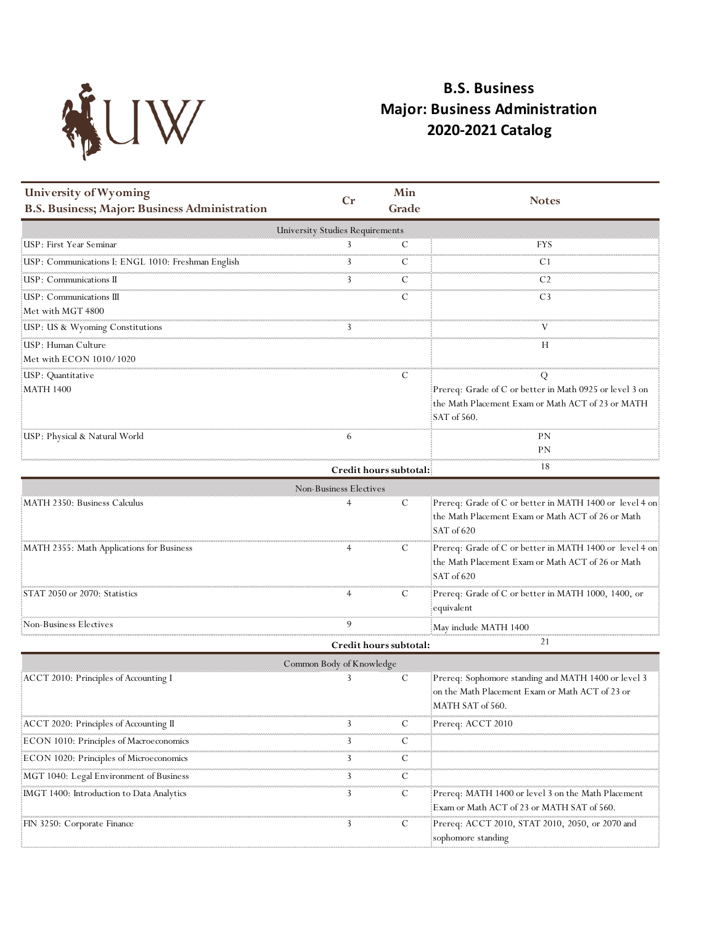

## **B.S. Business Major: Business Administration 2020-2021 Catalog**

| University of Wyoming                              | $C_{r}$                                | Min                    | <b>Notes</b>                                                        |
|----------------------------------------------------|----------------------------------------|------------------------|---------------------------------------------------------------------|
| B.S. Business; Major: Business Administration      |                                        | Grade                  |                                                                     |
|                                                    | <b>University Studies Requirements</b> |                        |                                                                     |
| USP: First Year Seminar                            |                                        | C                      | FYS                                                                 |
| USP: Communications I: ENGL 1010: Freshman English | 3                                      | С                      | C1                                                                  |
| USP: Communications II                             | 3                                      | C                      | C <sub>2</sub>                                                      |
| USP: Communications III                            |                                        | C                      | C <sub>3</sub>                                                      |
| Met with MGT 4800                                  |                                        |                        |                                                                     |
| USP: US & Wyoming Constitutions                    |                                        |                        |                                                                     |
| USP: Human Culture                                 |                                        |                        | Н                                                                   |
| Met with ECON 1010/1020                            |                                        |                        |                                                                     |
| USP: Quantitative<br><b>MATH 1400</b>              |                                        | C                      | Q<br>Prereq: Grade of C or better in Math 0925 or level 3 on        |
|                                                    |                                        |                        | the Math Placement Exam or Math ACT of 23 or MATH                   |
|                                                    |                                        |                        | SAT of 560.                                                         |
| USP: Physical & Natural World                      | 6                                      |                        | PN                                                                  |
|                                                    |                                        |                        | PN                                                                  |
|                                                    |                                        | Credit hours subtotal: | 18                                                                  |
|                                                    | Non-Business Electives                 |                        |                                                                     |
| MATH 2350: Business Calculus                       |                                        | C                      | Prereq: Grade of C or better in MATH 1400 or level 4 on             |
|                                                    |                                        |                        | the Math Placement Exam or Math ACT of 26 or Math                   |
|                                                    |                                        |                        | SAT of 620                                                          |
| MATH 2355: Math Applications for Business          |                                        | С                      | Prereq: Grade of C or better in MATH 1400 or level 4 on             |
|                                                    |                                        |                        | the Math Placement Exam or Math ACT of 26 or Math                   |
|                                                    |                                        |                        | SAT of 620                                                          |
| STAT 2050 or 2070: Statistics                      |                                        | C                      | Prereq: Grade of C or better in MATH 1000, 1400, or                 |
|                                                    |                                        |                        | equivalent                                                          |
| Non-Business Electives                             | 9                                      |                        | May include MATH 1400                                               |
|                                                    |                                        | Credit hours subtotal: | 21                                                                  |
|                                                    | Common Body of Knowledge               |                        |                                                                     |
| ACCT 2010: Principles of Accounting I              |                                        | C                      | Prereq: Sophomore standing and MATH 1400 or level 3                 |
|                                                    |                                        |                        | on the Math Placement Exam or Math ACT of 23 or<br>MATH SAT of 560. |
|                                                    | 3                                      | C                      | Prereq: ACCT 2010                                                   |
| ACCT 2020: Principles of Accounting II             |                                        | <b>CONTRA</b>          |                                                                     |
| ECON 1010: Principles of Macroeconomics            | 3                                      | Ċ                      |                                                                     |
| ECON 1020: Principles of Microeconomics            | 3                                      | C<br><b>COUNTY</b>     |                                                                     |
| MGT 1040: Legal Environment of Business            | 3                                      | C                      |                                                                     |
| [IMGT 1400: Introduction to Data Analytics]        | 3                                      | C                      | Prereq: MATH 1400 or level 3 on the Math Placement                  |
|                                                    |                                        |                        | Exam or Math ACT of 23 or MATH SAT of 560.                          |
| FIN 3250: Corporate Finance                        | 3                                      | C                      | Prereq: ACCT 2010, STAT 2010, 2050, or 2070 and                     |
|                                                    |                                        |                        | sophomore standing                                                  |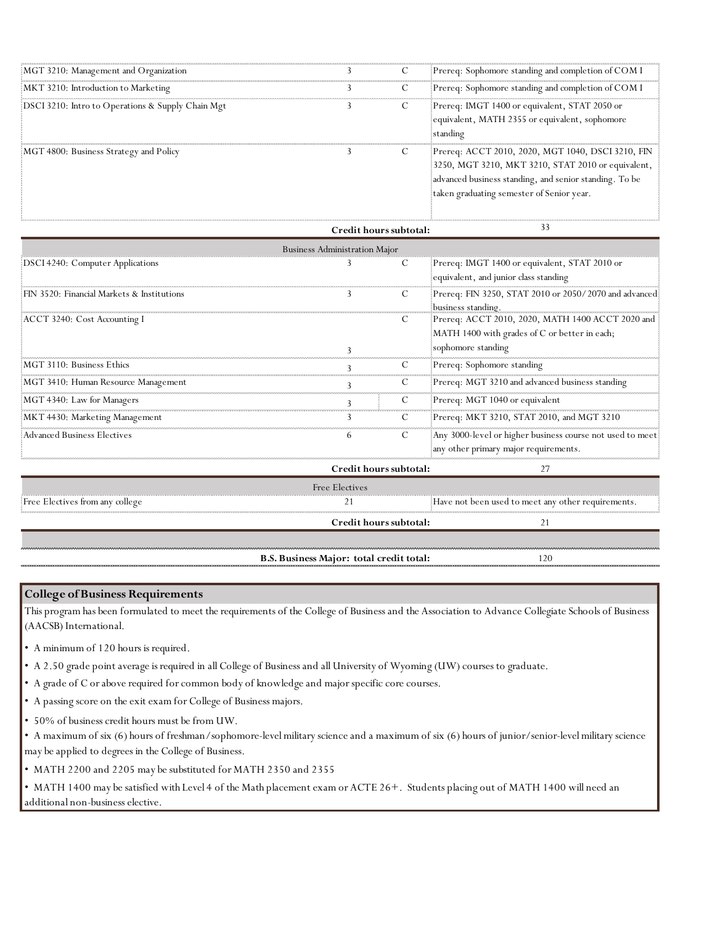| MGT 3210: Management and Organization             |  | Prereq: Sophomore standing and completion of COM I                                                                                                                                                             |
|---------------------------------------------------|--|----------------------------------------------------------------------------------------------------------------------------------------------------------------------------------------------------------------|
| MKT 3210: Introduction to Marketing               |  | Prereq: Sophomore standing and completion of COM I                                                                                                                                                             |
| DSCI 3210: Intro to Operations & Supply Chain Mgt |  | Prereq: IMGT 1400 or equivalent, STAT 2050 or<br>equivalent, MATH 2355 or equivalent, sophomore<br>standing                                                                                                    |
| MGT 4800: Business Strategy and Policy            |  | Prereq: ACCT 2010, 2020, MGT 1040, DSCI 3210, FIN<br>3250, MGT 3210, MKT 3210, STAT 2010 or equivalent,<br>advanced business standing, and senior standing. To be<br>taken graduating semester of Senior year. |

|                                            | Credit hours subtotal:       |    | 33                                                                                                                      |  |  |  |  |
|--------------------------------------------|------------------------------|----|-------------------------------------------------------------------------------------------------------------------------|--|--|--|--|
| <b>Business Administration Major</b>       |                              |    |                                                                                                                         |  |  |  |  |
| DSCI 4240: Computer Applications           |                              |    | Prereq: IMGT 1400 or equivalent, STAT 2010 or<br>equivalent, and junior class standing                                  |  |  |  |  |
| FIN 3520: Financial Markets & Institutions |                              | C  | Prereq: FIN 3250, STAT 2010 or 2050/2070 and advanced<br>business standing.                                             |  |  |  |  |
| ACCT 3240: Cost Accounting I               |                              |    | Prereq: ACCT 2010, 2020, MATH 1400 ACCT 2020 and<br>MATH 1400 with grades of C or better in each;<br>sophomore standing |  |  |  |  |
| MGT 3110: Business Ethics                  |                              | C  | Prereq: Sophomore standing                                                                                              |  |  |  |  |
| MGT 3410: Human Resource Management        |                              | C  | Prereq: MGT 3210 and advanced business standing                                                                         |  |  |  |  |
| MGT 4340: Law for Managers                 |                              | C  | Prereq: MGT 1040 or equivalent                                                                                          |  |  |  |  |
| MKT 4430: Marketing Management             |                              | C  | Prereq: MKT 3210, STAT 2010, and MGT 3210                                                                               |  |  |  |  |
| Advanced Business Electives                |                              | C  | Any 3000-level or higher business course not used to meet:<br>any other primary major requirements.                     |  |  |  |  |
|                                            | Credit hours subtotal:<br>27 |    |                                                                                                                         |  |  |  |  |
|                                            | Free Electives               |    |                                                                                                                         |  |  |  |  |
| Free Electives from any college            |                              |    | Have not been used to meet any other requirements.                                                                      |  |  |  |  |
|                                            | Credit hours subtotal:       | 21 |                                                                                                                         |  |  |  |  |
|                                            |                              |    |                                                                                                                         |  |  |  |  |

**B.S. Business Major: total credit total:**

120

## **College of Business Requirements**

This program has been formulated to meet the requirements of the College of Business and the Association to Advance Collegiate Schools of Business (AACSB) International.

• A minimum of 120 hours is required.

• A 2.50 grade point average is required in all College of Business and all University of Wyoming (UW) courses to graduate.

- A grade of C or above required for common body of knowledge and major specific core courses.
- A passing score on the exit exam for College of Business majors.
- 50% of business credit hours must be from UW.

• A maximum of six (6) hours of freshman/sophomore-level military science and a maximum of six (6) hours of junior/senior-level military science may be applied to degrees in the College of Business.

• MATH 2200 and 2205 may be substituted for MATH 2350 and 2355

• MATH 1400 may be satisfied with Level 4 of the Math placement exam or ACTE 26+. Students placing out of MATH 1400 will need an additional non-business elective.